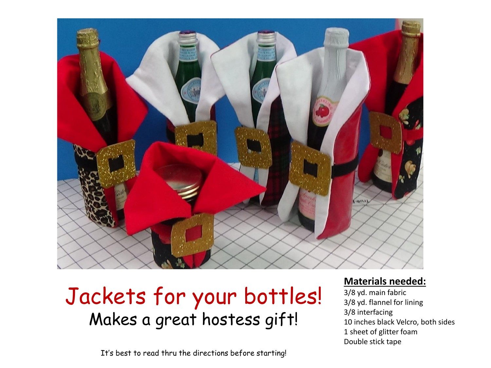

## Jackets for your bottles! Makes a great hostess gift!

It's best to read thru the directions before starting!

## **Materials needed:**

3/8 yd. main fabric 3/8 yd. flannel for lining 3/8 interfacing 10 inches black Velcro, both sides 1 sheet of glitter foam Double stick tape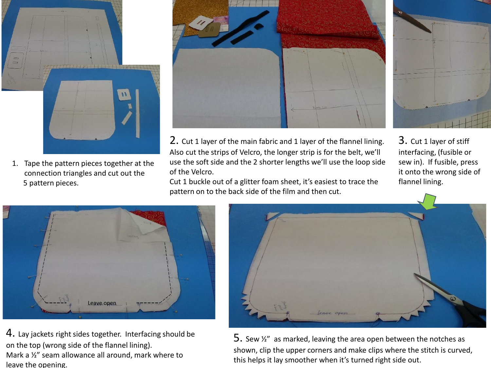

1. Tape the pattern pieces together at the connection triangles and cut out the 5 pattern pieces.



2. Cut 1 layer of the main fabric and 1 layer of the flannel lining. Also cut the strips of Velcro, the longer strip is for the belt, we'll use the soft side and the 2 shorter lengths we'll use the loop side of the Velcro.

Cut 1 buckle out of a glitter foam sheet, it's easiest to trace the pattern on to the back side of the film and then cut.



3. Cut 1 layer of stiff interfacing, (fusible or sew in). If fusible, press it onto the wrong side of flannel lining.



4. Lay jackets right sides together. Interfacing should be on the top (wrong side of the flannel lining).

Mark a ½" seam allowance all around, mark where to leave the opening.



5. Sew  $\frac{1}{2}$  as marked, leaving the area open between the notches as shown, clip the upper corners and make clips where the stitch is curved, this helps it lay smoother when it's turned right side out.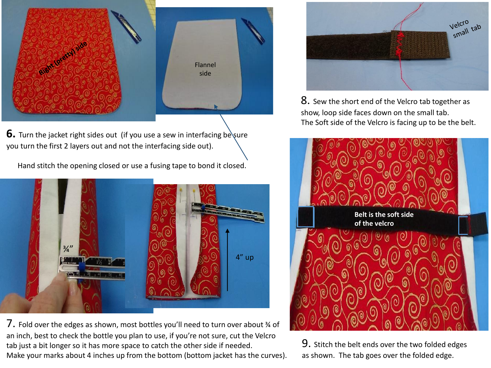

**6.** Turn the jacket right sides out (if you use a sew in interfacing be sure you turn the first 2 layers out and not the interfacing side out).

Hand stitch the opening closed or use a fusing tape to bond it closed.



7. Fold over the edges as shown, most bottles you'll need to turn over about 34 of an inch, best to check the bottle you plan to use, if you're not sure, cut the Velcro tab just a bit longer so it has more space to catch the other side if needed. Make your marks about 4 inches up from the bottom (bottom jacket has the curves).



**8.** Sew the short end of the Velcro tab together as show, loop side faces down on the small tab. The Soft side of the Velcro is facing up to be the belt.



9. Stitch the belt ends over the two folded edges as shown. The tab goes over the folded edge.